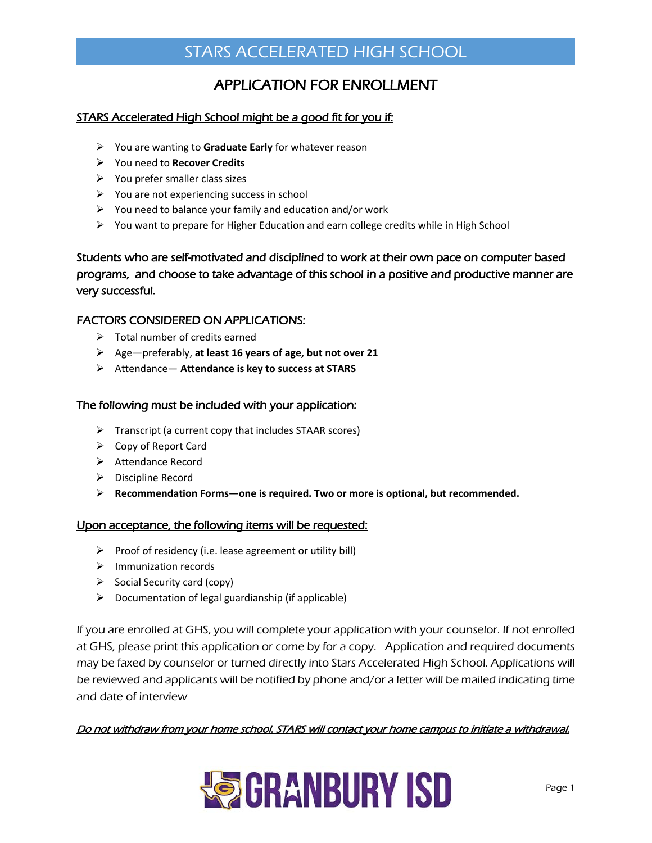### APPLICATION FOR ENROLLMENT

#### STARS Accelerated High School might be a good fit for you if:

- You are wanting to **Graduate Early** for whatever reason
- You need to **Recover Credits**
- $\triangleright$  You prefer smaller class sizes
- $\triangleright$  You are not experiencing success in school
- $\triangleright$  You need to balance your family and education and/or work
- $\triangleright$  You want to prepare for Higher Education and earn college credits while in High School

### Students who are self-motivated and disciplined to work at their own pace on computer based programs, and choose to take advantage of this school in a positive and productive manner are very successful.

#### FACTORS CONSIDERED ON APPLICATIONS:

- $\triangleright$  Total number of credits earned
- Age—preferably, **at least 16 years of age, but not over 21**
- Attendance— **Attendance is key to success at STARS**

#### The following must be included with your application:

- $\triangleright$  Transcript (a current copy that includes STAAR scores)
- $\triangleright$  Copy of Report Card
- ▶ Attendance Record
- $\triangleright$  Discipline Record
- **Recommendation Forms—one is required. Two or more is optional, but recommended.**

#### Upon acceptance, the following items will be requested:

- $\triangleright$  Proof of residency (i.e. lease agreement or utility bill)
- $\triangleright$  Immunization records
- $\triangleright$  Social Security card (copy)
- $\triangleright$  Documentation of legal guardianship (if applicable)

If you are enrolled at GHS, you will complete your application with your counselor. If not enrolled at GHS, please print this application or come by for a copy. Application and required documents may be faxed by counselor or turned directly into Stars Accelerated High School. Applications will be reviewed and applicants will be notified by phone and/or a letter will be mailed indicating time and date of interview

#### Do not withdraw from your home school. STARS will contact your home campus to initiate a withdrawal.

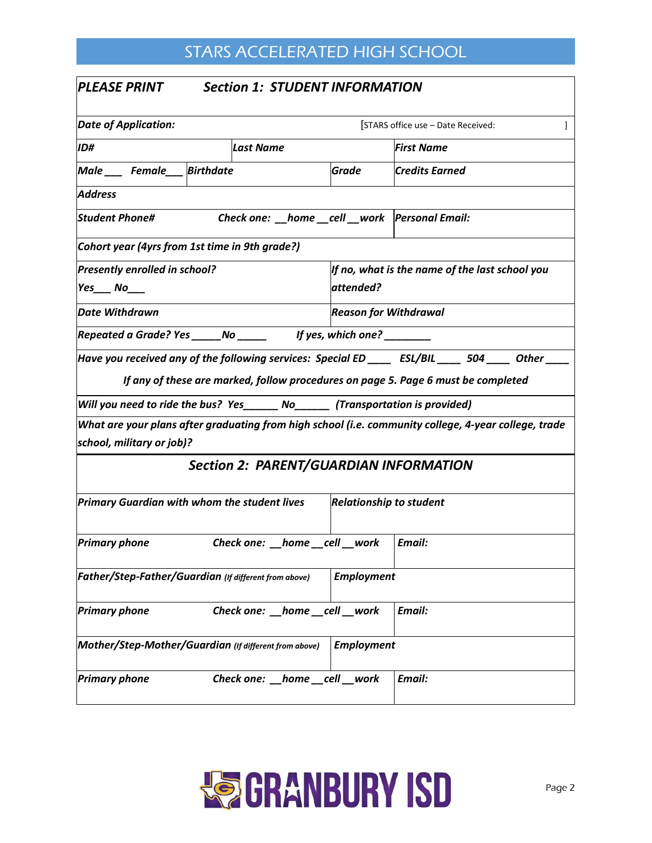| <b>PLEASE PRINT</b><br><b>Section 1: STUDENT INFORMATION</b>                                                                                                                                                                                                                |                                |                                                |  |  |  |
|-----------------------------------------------------------------------------------------------------------------------------------------------------------------------------------------------------------------------------------------------------------------------------|--------------------------------|------------------------------------------------|--|--|--|
| <b>Date of Application:</b>                                                                                                                                                                                                                                                 |                                | [STARS office use - Date Received:<br>1        |  |  |  |
| ID#<br>Last Name                                                                                                                                                                                                                                                            |                                | <b>First Name</b>                              |  |  |  |
| Male ___ Female __ Birthdate                                                                                                                                                                                                                                                | Grade                          | Credits Earned                                 |  |  |  |
| <b>Address</b>                                                                                                                                                                                                                                                              |                                |                                                |  |  |  |
| Check one: __home __cell __work  Personal Email:<br><b>Student Phone#</b>                                                                                                                                                                                                   |                                |                                                |  |  |  |
| Cohort year (4yrs from 1st time in 9th grade?)                                                                                                                                                                                                                              |                                |                                                |  |  |  |
| Presently enrolled in school?<br>$Yes_$ No                                                                                                                                                                                                                                  | attended?                      | If no, what is the name of the last school you |  |  |  |
| Date Withdrawn                                                                                                                                                                                                                                                              | <b>Reason for Withdrawal</b>   |                                                |  |  |  |
| Repeated a Grade? Yes ______ No ______ lf yes, which one? _________                                                                                                                                                                                                         |                                |                                                |  |  |  |
| Have you received any of the following services: Special ED _____ ESL/BIL _____ 504 _____ Other ____<br>If any of these are marked, follow procedures on page 5. Page 6 must be completed<br>Will you need to ride the bus? Yes______ No______ (Transportation is provided) |                                |                                                |  |  |  |
| What are your plans after graduating from high school (i.e. community college, 4-year college, trade<br>school, military or job)?                                                                                                                                           |                                |                                                |  |  |  |
| <b>Section 2: PARENT/GUARDIAN INFORMATION</b>                                                                                                                                                                                                                               |                                |                                                |  |  |  |
| Primary Guardian with whom the student lives                                                                                                                                                                                                                                | <b>Relationship to student</b> |                                                |  |  |  |
| Check one: __home __cell __work<br><b>Primary phone</b>                                                                                                                                                                                                                     |                                | Email:                                         |  |  |  |
| Father/Step-Father/Guardian (If different from above)                                                                                                                                                                                                                       | <b>Employment</b>              |                                                |  |  |  |
| <b>Primary phone</b><br>Check one: __home __cell __work                                                                                                                                                                                                                     |                                | Email:                                         |  |  |  |
| Mother/Step-Mother/Guardian (If different from above)                                                                                                                                                                                                                       | <b>Employment</b>              |                                                |  |  |  |
| <b>Primary phone</b><br>Check one: home cell work                                                                                                                                                                                                                           |                                | Email:                                         |  |  |  |

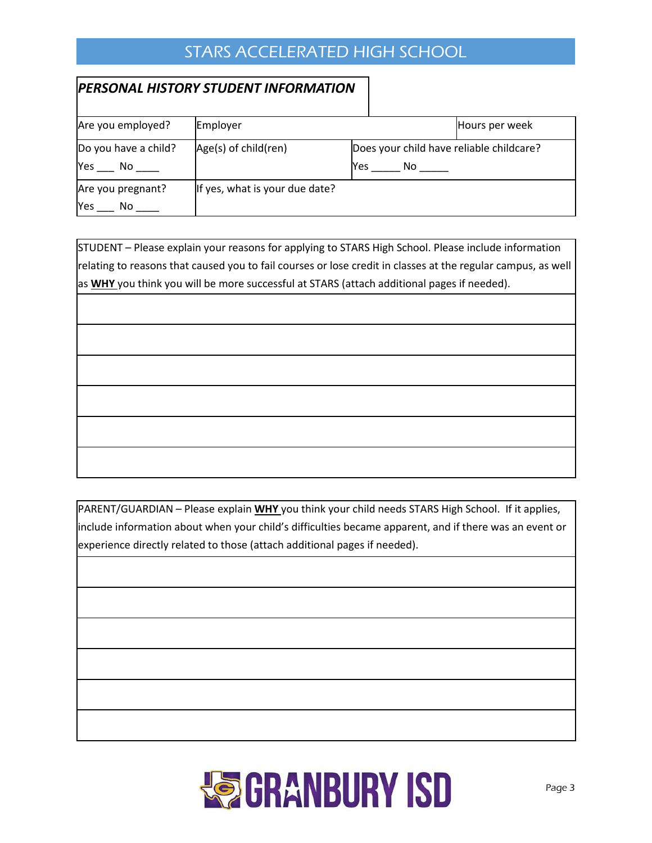### *PERSONAL HISTORY STUDENT INFORMATION*

| Are you employed?              | Employer                       |                                                        | Hours per week |
|--------------------------------|--------------------------------|--------------------------------------------------------|----------------|
| Do you have a child?<br>Yes No | Age(s) of child(ren)           | Does your child have reliable childcare?<br>Yes<br>No. |                |
| Are you pregnant?<br>Yes<br>No | If yes, what is your due date? |                                                        |                |

STUDENT – Please explain your reasons for applying to STARS High School. Please include information relating to reasons that caused you to fail courses or lose credit in classes at the regular campus, as well as **WHY** you think you will be more successful at STARS (attach additional pages if needed).

PARENT/GUARDIAN – Please explain **WHY** you think your child needs STARS High School. If it applies, include information about when your child's difficulties became apparent, and if there was an event or experience directly related to those (attach additional pages if needed).

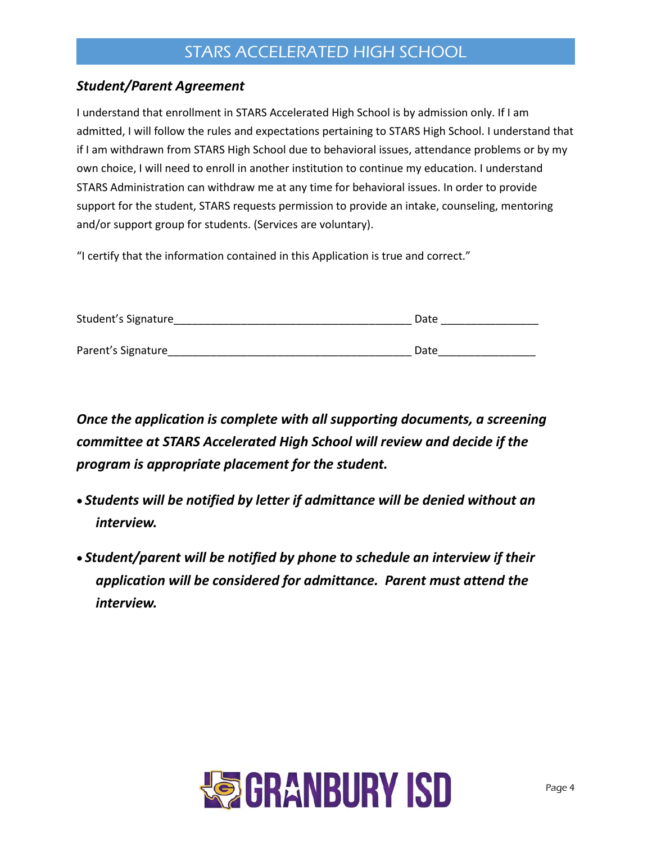### *Student/Parent Agreement*

I understand that enrollment in STARS Accelerated High School is by admission only. If I am admitted, I will follow the rules and expectations pertaining to STARS High School. I understand that if I am withdrawn from STARS High School due to behavioral issues, attendance problems or by my own choice, I will need to enroll in another institution to continue my education. I understand STARS Administration can withdraw me at any time for behavioral issues. In order to provide support for the student, STARS requests permission to provide an intake, counseling, mentoring and/or support group for students. (Services are voluntary).

"I certify that the information contained in this Application is true and correct."

| Student's Signature | Date |  |  |
|---------------------|------|--|--|
|                     |      |  |  |
| Parent's Signature  | Date |  |  |

*Once the application is complete with all supporting documents, a screening committee at STARS Accelerated High School will review and decide if the program is appropriate placement for the student.* 

- *Students will be notified by letter if admittance will be denied without an interview.*
- *Student/parent will be notified by phone to schedule an interview if their application will be considered for admittance. Parent must attend the interview.*

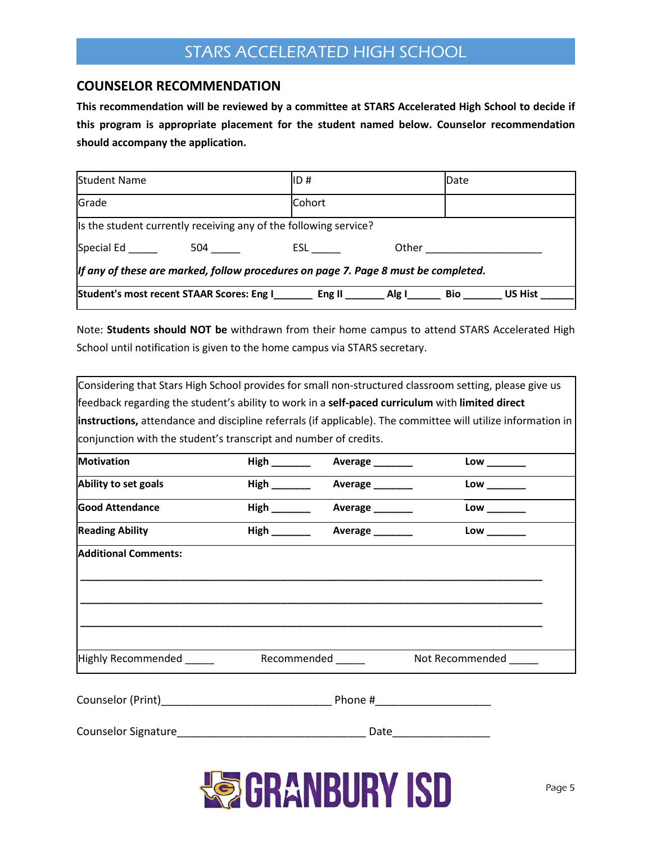#### **COUNSELOR RECOMMENDATION**

**This recommendation will be reviewed by a committee at STARS Accelerated High School to decide if this program is appropriate placement for the student named below. Counselor recommendation should accompany the application.** 

| <b>Student Name</b>                                                                |                                             | ID#                                                              |       | Date |                |
|------------------------------------------------------------------------------------|---------------------------------------------|------------------------------------------------------------------|-------|------|----------------|
| Grade                                                                              |                                             | Cohort                                                           |       |      |                |
|                                                                                    |                                             | Is the student currently receiving any of the following service? |       |      |                |
| Special Ed                                                                         | 504 — 10                                    | ESL <sub>ab</sub>                                                | Other |      |                |
| If any of these are marked, follow procedures on page 7. Page 8 must be completed. |                                             |                                                                  |       |      |                |
|                                                                                    | Student's most recent STAAR Scores: Eng I__ | Eng II                                                           | Alg I | Bio  | <b>US Hist</b> |

Note: **Students should NOT be** withdrawn from their home campus to attend STARS Accelerated High School until notification is given to the home campus via STARS secretary.

|                                                                                                              |  |                              | Considering that Stars High School provides for small non-structured classroom setting, please give us |  |  |  |
|--------------------------------------------------------------------------------------------------------------|--|------------------------------|--------------------------------------------------------------------------------------------------------|--|--|--|
| feedback regarding the student's ability to work in a self-paced curriculum with limited direct              |  |                              |                                                                                                        |  |  |  |
| instructions, attendance and discipline referrals (if applicable). The committee will utilize information in |  |                              |                                                                                                        |  |  |  |
| conjunction with the student's transcript and number of credits.                                             |  |                              |                                                                                                        |  |  |  |
| <b>Motivation</b>                                                                                            |  | Average ______               | $Low$ _______                                                                                          |  |  |  |
| Ability to set goals                                                                                         |  |                              |                                                                                                        |  |  |  |
| <b>Good Attendance</b>                                                                                       |  |                              | $Low$ _______                                                                                          |  |  |  |
| <b>Reading Ability</b>                                                                                       |  |                              |                                                                                                        |  |  |  |
| <b>Additional Comments:</b>                                                                                  |  |                              |                                                                                                        |  |  |  |
|                                                                                                              |  | Recommended <b>Authority</b> | Not Recommended                                                                                        |  |  |  |
|                                                                                                              |  |                              |                                                                                                        |  |  |  |
|                                                                                                              |  |                              | Date____________________                                                                               |  |  |  |
|                                                                                                              |  |                              |                                                                                                        |  |  |  |

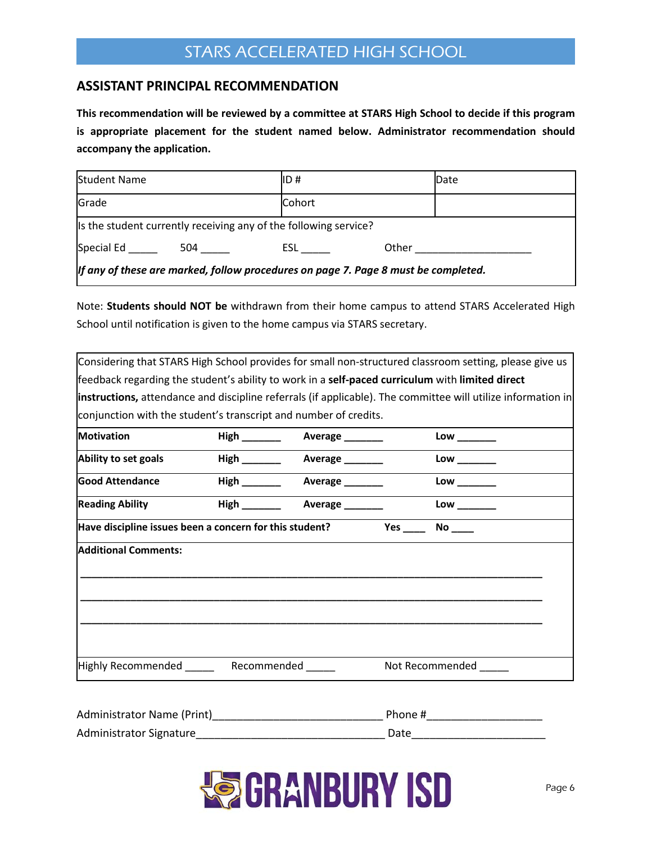#### **ASSISTANT PRINCIPAL RECOMMENDATION**

**This recommendation will be reviewed by a committee at STARS High School to decide if this program is appropriate placement for the student named below. Administrator recommendation should accompany the application.** 

| <b>Student Name</b>                                                                |                                                                  | IID #  |  | Date |
|------------------------------------------------------------------------------------|------------------------------------------------------------------|--------|--|------|
| Grade                                                                              |                                                                  | Cohort |  |      |
|                                                                                    | Is the student currently receiving any of the following service? |        |  |      |
| Special Ed<br>Other<br>504 —<br><b>ESL</b>                                         |                                                                  |        |  |      |
| If any of these are marked, follow procedures on page 7. Page 8 must be completed. |                                                                  |        |  |      |

Note: **Students should NOT be** withdrawn from their home campus to attend STARS Accelerated High School until notification is given to the home campus via STARS secretary.

| Considering that STARS High School provides for small non-structured classroom setting, please give us       |                            |     |                 |  |
|--------------------------------------------------------------------------------------------------------------|----------------------------|-----|-----------------|--|
| ffeedback regarding the student's ability to work in a self-paced curriculum with limited direct             |                            |     |                 |  |
| instructions, attendance and discipline referrals (if applicable). The committee will utilize information in |                            |     |                 |  |
| conjunction with the student's transcript and number of credits.                                             |                            |     |                 |  |
| <b>Motivation</b>                                                                                            | <b>Average</b>             |     | Low             |  |
| Ability to set goals                                                                                         | Average _______            |     | $Low$ ______    |  |
| <b>Good Attendance</b>                                                                                       | High <b>Number Average</b> |     | Low             |  |
| <b>Reading Ability</b>                                                                                       |                            |     |                 |  |
| Have discipline issues been a concern for this student?                                                      |                            | Yes | <b>No</b>       |  |
| <b>Additional Comments:</b>                                                                                  |                            |     |                 |  |
|                                                                                                              |                            |     |                 |  |
|                                                                                                              |                            |     |                 |  |
|                                                                                                              |                            |     |                 |  |
|                                                                                                              |                            |     |                 |  |
| Highly Recommended Recommended                                                                               |                            |     | Not Recommended |  |

| Administrator Name (Print) | Phone # |
|----------------------------|---------|
| Administrator Signature    | Date    |

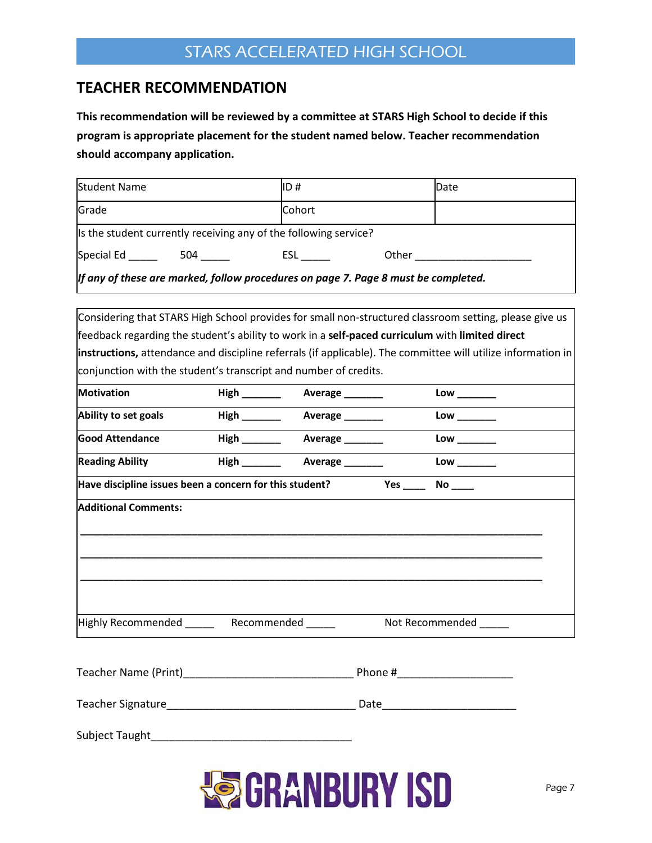### **TEACHER RECOMMENDATION**

**This recommendation will be reviewed by a committee at STARS High School to decide if this program is appropriate placement for the student named below. Teacher recommendation should accompany application.** 

| <b>Student Name</b>                                                                |  | ID#                                                              | Date  |  |
|------------------------------------------------------------------------------------|--|------------------------------------------------------------------|-------|--|
| Grade                                                                              |  | Cohort                                                           |       |  |
|                                                                                    |  | Is the student currently receiving any of the following service? |       |  |
| Special Ed<br>504 —                                                                |  | ESL                                                              | Other |  |
| If any of these are marked, follow procedures on page 7. Page 8 must be completed. |  |                                                                  |       |  |

| Considering that STARS High School provides for small non-structured classroom setting, please give us       |                               |     |                              |  |
|--------------------------------------------------------------------------------------------------------------|-------------------------------|-----|------------------------------|--|
| feedback regarding the student's ability to work in a self-paced curriculum with limited direct              |                               |     |                              |  |
| instructions, attendance and discipline referrals (if applicable). The committee will utilize information in |                               |     |                              |  |
| conjunction with the student's transcript and number of credits.                                             |                               |     |                              |  |
| <b>Motivation</b>                                                                                            | High ________ Average _______ |     |                              |  |
| Ability to set goals                                                                                         | High ________ Average _______ |     | $Low$ _______                |  |
| <b>Good Attendance</b>                                                                                       |                               |     | Low                          |  |
| <b>Reading Ability</b>                                                                                       |                               |     | $\mathsf{Low} \_\_\_\_\_\_\$ |  |
| Have discipline issues been a concern for this student?                                                      |                               | Yes | No                           |  |
| <b>Additional Comments:</b>                                                                                  |                               |     |                              |  |
|                                                                                                              |                               |     |                              |  |
|                                                                                                              |                               |     |                              |  |
|                                                                                                              |                               |     |                              |  |
|                                                                                                              |                               |     |                              |  |
| Highly Recommended _______ Recommended ______                                                                |                               |     | Not Recommended ______       |  |
|                                                                                                              |                               |     |                              |  |
|                                                                                                              |                               |     |                              |  |

| Teacher Name (Print)     | Phone # |
|--------------------------|---------|
| <b>Teacher Signature</b> | Date    |
| Subject Taught           |         |

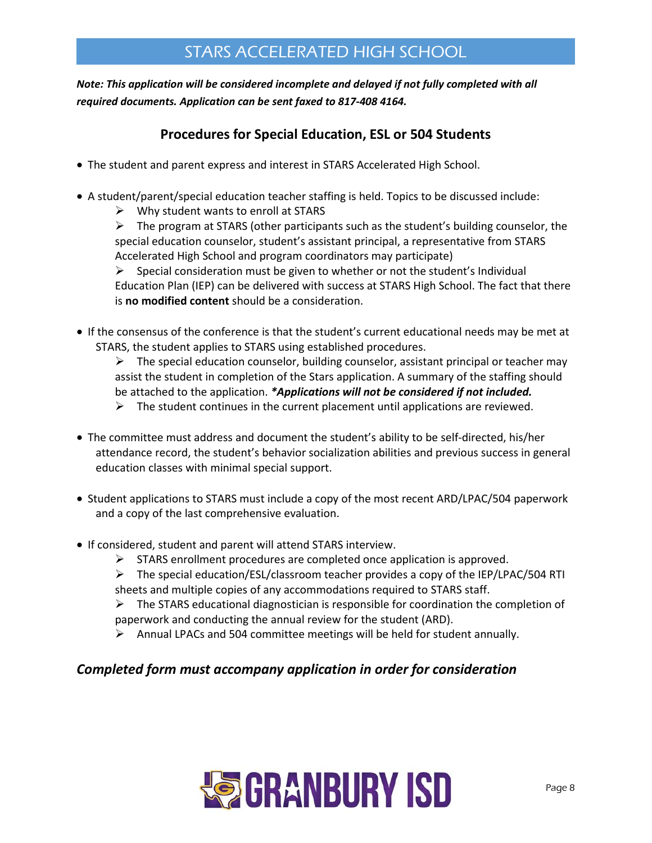### *Note: This application will be considered incomplete and delayed if not fully completed with all required documents. Application can be sent faxed to 817-408 4164.*

### **Procedures for Special Education, ESL or 504 Students**

- The student and parent express and interest in STARS Accelerated High School.
- A student/parent/special education teacher staffing is held. Topics to be discussed include:
	- $\triangleright$  Why student wants to enroll at STARS
	- $\triangleright$  The program at STARS (other participants such as the student's building counselor, the special education counselor, student's assistant principal, a representative from STARS Accelerated High School and program coordinators may participate)

 $\triangleright$  Special consideration must be given to whether or not the student's Individual Education Plan (IEP) can be delivered with success at STARS High School. The fact that there is **no modified content** should be a consideration.

- If the consensus of the conference is that the student's current educational needs may be met at STARS, the student applies to STARS using established procedures.
	- $\triangleright$  The special education counselor, building counselor, assistant principal or teacher may assist the student in completion of the Stars application. A summary of the staffing should be attached to the application. *\*Applications will not be considered if not included.*
	- $\triangleright$  The student continues in the current placement until applications are reviewed.
- The committee must address and document the student's ability to be self-directed, his/her attendance record, the student's behavior socialization abilities and previous success in general education classes with minimal special support.
- Student applications to STARS must include a copy of the most recent ARD/LPAC/504 paperwork and a copy of the last comprehensive evaluation.
- If considered, student and parent will attend STARS interview.
	- $\triangleright$  STARS enrollment procedures are completed once application is approved.
	- $\triangleright$  The special education/ESL/classroom teacher provides a copy of the IEP/LPAC/504 RTI sheets and multiple copies of any accommodations required to STARS staff.

 $\triangleright$  The STARS educational diagnostician is responsible for coordination the completion of paperwork and conducting the annual review for the student (ARD).

 $\triangleright$  Annual LPACs and 504 committee meetings will be held for student annually.

### *Completed form must accompany application in order for consideration*